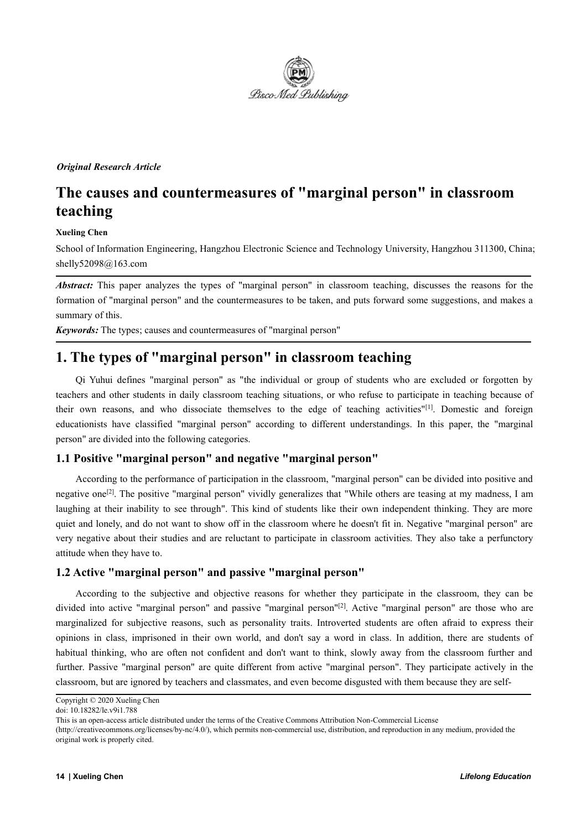

## *Original Research Article*

# **The causes and countermeasures of"marginal person" in classroom teaching**

## **Xueling Chen**

School of Information Engineering, Hangzhou Electronic Science and Technology University, Hangzhou 311300, China; shelly52098@163.com

*Abstract:* This paper analyzes the types of "marginal person" in classroom teaching, discusses the reasons for the formation of "marginal person" and the countermeasures to be taken, and puts forward some suggestions, and makes a summary of this.

*Keywords:* The types; causes and countermeasures of"marginal person"

## **1. The types of "marginal person" in classroom teaching**

Qi Yuhui defines "marginal person" as "the individual or group of students who are excluded or forgotten by teachers and other students in daily classroom teaching situations, or who refuse to participate in teaching because of their own reasons, and who dissociate themselves to the edge of teaching activities" [1]. Domestic and foreign educationists have classified "marginal person" according to different understandings. In this paper, the "marginal person" are divided into the following categories.

## **1.1 Positive "marginal person" and negative "marginal person"**

According to the performance of participation in the classroom, "marginal person" can be divided into positive and negative one<sup>[2]</sup>. The positive "marginal person" vividly generalizes that "While others are teasing at my madness, I am laughing at their inability to see through". This kind of students like their own independent thinking. They are more quiet and lonely, and do not want to show off in the classroom where he doesn't fit in. Negative "marginal person" are very negative about their studies and are reluctant to participate in classroom activities. They also take a perfunctory attitude when they have to.

## **1.2 Active "marginal person" and passive "marginal person"**

According to the subjective and objective reasons for whether they participate in the classroom, they can be divided into active "marginal person" and passive "marginal person" [2]. Active "marginal person" are those who are marginalized for subjective reasons, such as personality traits. Introverted students are often afraid to express their opinions in class, imprisoned in their own world, and don't say a word in class. In addition, there are students of habitual thinking, who are often not confident and don't want to think, slowly away from the classroom further and further. Passive "marginal person" are quite different from active "marginal person". They participate actively in the classroom, but are ignored by teachers and classmates, and even become disgusted with them because they are self-

Copyright © 2020 Xueling Chen

doi: 10.18282/le.v9i1.788

This is an open-access article distributed under the terms of the Creative Commons Attribution Non-Commercial License

<sup>(</sup>http://creativecommons.org/licenses/by-nc/4.0/), which permits non-commercial use, distribution, and reproduction in any medium, provided the original work is properly cited.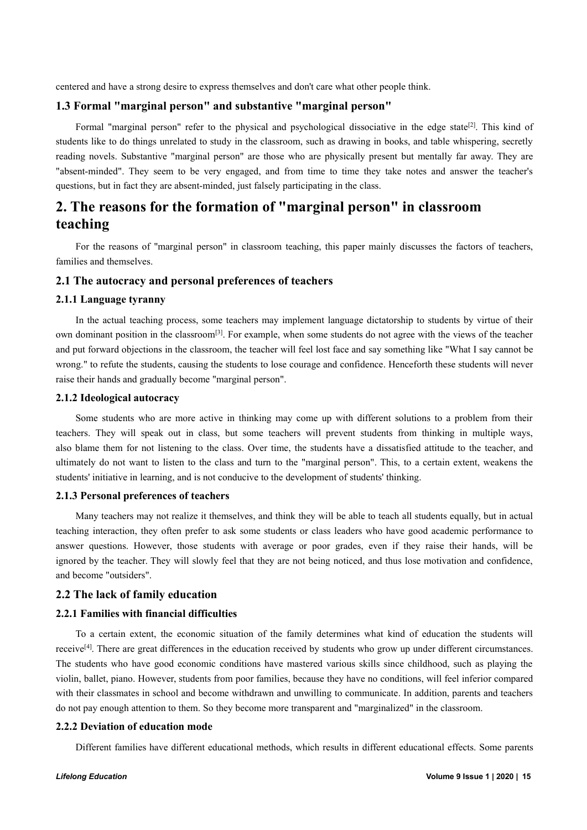centered and have a strong desire to express themselves and don't care what other people think.

## **1.3 Formal "marginal person" and substantive "marginal person"**

Formal "marginal person" refer to the physical and psychological dissociative in the edge state<sup>[2]</sup>. This kind of students like to do things unrelated to study in the classroom, such as drawing in books, and table whispering, secretly reading novels. Substantive "marginal person" are those who are physically present but mentally far away. They are "absent-minded". They seem to be very engaged, and from time to time they take notes and answer the teacher's questions, but in fact they are absent-minded, just falsely participating in the class.

# **2. The reasons for the formation of "marginal person" in classroom teaching**

For the reasons of "marginal person" in classroom teaching, this paper mainly discusses the factors of teachers, families and themselves.

## **2.1 The autocracy and personal preferences ofteachers**

## **2.1.1 Language tyranny**

In the actual teaching process, some teachers may implement language dictatorship to students by virtue of their own dominant position in the classroom<sup>[3]</sup>. For example, when some students do not agree with the views of the teacher and put forward objections in the classroom, the teacher will feel lost face and say something like "What I say cannot be wrong." to refute the students, causing the students to lose courage and confidence. Henceforth these students will never raise their hands and gradually become "marginal person".

#### **2.1.2 Ideological autocracy**

Some students who are more active in thinking may come up with different solutions to a problem from their teachers. They will speak out in class, but some teachers will prevent students from thinking in multiple ways, also blame them for not listening to the class. Over time, the students have a dissatisfied attitude to the teacher, and ultimately do not want to listen to the class and turn to the "marginal person". This, to a certain extent, weakens the students' initiative in learning, and is not conducive to the development of students' thinking.

#### **2.1.3** Personal preferences of teachers

Many teachers may not realize it themselves, and think they will be able to teach all students equally, but in actual teaching interaction, they often prefer to ask some students or class leaders who have good academic performance to answer questions. However, those students with average or poor grades, even if they raise their hands, will be ignored by the teacher. They will slowly feel that they are not being noticed, and thus lose motivation and confidence, and become "outsiders".

## **2.2 The lack of family education**

#### **2.2.1 Families with financial difficulties**

To a certain extent, the economic situation of the family determines what kind of education the students will receive<sup>[4]</sup>. There are great differences in the education received by students who grow up under different circumstances. The students who have good economic conditions have mastered various skills since childhood, such as playing the violin, ballet, piano. However, students from poor families, because they have no conditions, will feel inferior compared with their classmates in school and become withdrawn and unwilling to communicate. In addition, parents and teachers do not pay enough attention to them. So they become more transparent and "marginalized" in the classroom.

#### **2.2.2 Deviation of education mode**

Different families have different educational methods, which results in different educational effects. Some parents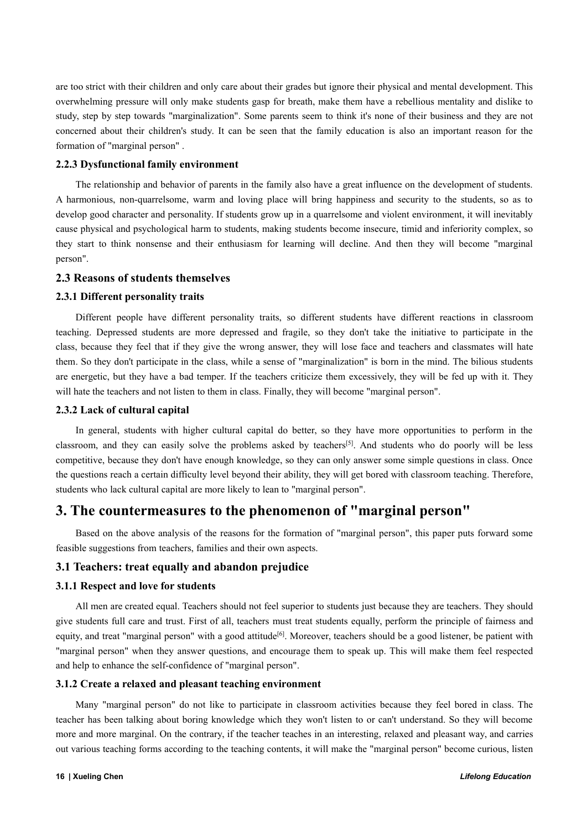are too strict with their children and only care about their grades but ignore their physical and mental development. This overwhelming pressure will only make students gasp for breath, make them have a rebellious mentality and dislike to study, step by step towards "marginalization". Some parents seem to think it's none oftheir business and they are not concerned about their children's study. It can be seen that the family education is also an important reason for the formation of "marginal person" .

## **2.2.3 Dysfunctional family environment**

The relationship and behavior of parents in the family also have a great influence on the development of students. A harmonious, non-quarrelsome, warm and loving place will bring happiness and security to the students, so as to develop good character and personality. If students grow up in a quarrelsome and violent environment, it will inevitably cause physical and psychological harm to students, making students become insecure, timid and inferiority complex, so they start to think nonsense and their enthusiasm for learning will decline. And then they will become "marginal" person".

## **2.3 Reasons of students themselves**

## **2.3.1 Different personality traits**

Different people have different personality traits, so different students have different reactions in classroom teaching. Depressed students are more depressed and fragile, so they don't take the initiative to participate in the class, because they feel that if they give the wrong answer, they will lose face and teachers and classmates will hate them. So they don't participate in the class, while a sense of "marginalization" is born in the mind. The bilious students are energetic, but they have a bad temper. If the teachers criticize them excessively, they will be fed up with it. They will hate the teachers and not listen to them in class. Finally, they will become "marginal person".

#### **2.3.2 Lack of cultural capital**

In general, students with higher cultural capital do better, so they have more opportunities to perform in the classroom, and they can easily solve the problems asked by teachers<sup>[5]</sup>. And students who do poorly will be less competitive, because they don't have enough knowledge, so they can only answersome simple questions in class. Once the questions reach a certain difficulty level beyond their ability, they will get bored with classroom teaching. Therefore, students who lack cultural capital are more likely to lean to "marginal person".

## **3. The countermeasures to the phenomenon of "marginal person"**

Based on the above analysis of the reasons for the formation of "marginal person", this paper puts forward some feasible suggestions from teachers, families and their own aspects.

## **3.1 Teachers: treat equally and abandon prejudice**

## **3.1.1 Respect and love for students**

All men are created equal. Teachers should not feel superior to students just because they are teachers. They should give students full care and trust. First of all, teachers must treat students equally, perform the principle of fairness and equity, and treat "marginal person" with a good attitude<sup>[6]</sup>. Moreover, teachers should be a good listener, be patient with "marginal person" when they answer questions, and encourage them to speak up. This will make them feel respected and help to enhance the self-confidence of "marginal person".

## **3.1.2 Create a relaxed and pleasant teaching environment**

Many "marginal person" do not like to participate in classroom activities because they feel bored in class. The teacher has been talking about boring knowledge which they won't listen to or can't understand. So they will become more and more marginal. On the contrary, if the teacher teaches in an interesting, relaxed and pleasant way, and carries out various teaching forms according to the teaching contents, it will make the "marginal person" become curious, listen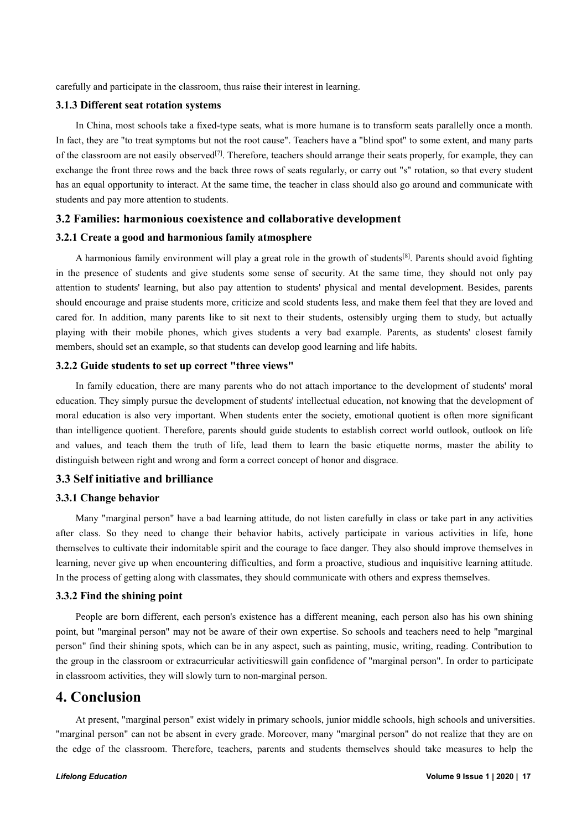carefully and participate in the classroom, thus raise their interest in learning.

#### **3.1.3 Different seat rotation systems**

In China, most schools take a fixed-type seats, what is more humane is to transform seats parallelly once a month. In fact, they are "to treat symptoms but not the root cause". Teachers have a "blind spot" to some extent, and many parts of the classroom are not easily observed<sup>[7]</sup>. Therefore, teachers should arrange their seats properly, for example, they can exchange the front three rows and the back three rows of seats regularly, or carry out "s" rotation, so that every student has an equal opportunity to interact. At the same time, the teacher in class should also go around and communicate with students and pay more attention to students.

#### **3.2 Families: harmonious coexistence and collaborative development**

#### **3.2.1 Create a good and harmonious family atmosphere**

A harmonious family environment will play a great role in the growth of students<sup>[8]</sup>. Parents should avoid fighting in the presence of students and give students some sense of security. At the same time, they should not only pay attention to students' learning, but also pay attention to students' physical and mental development. Besides, parents should encourage and praise students more, criticize and scold students less, and make them feel that they are loved and cared for. In addition, many parents like to sit next to their students, ostensibly urging them to study, but actually playing with their mobile phones, which gives students a very bad example. Parents, as students'closest family members, should set an example, so that students can develop good learning and life habits.

## **3.2.2 Guide students to set up correct "three views"**

In family education, there are many parents who do not attach importance to the development of students' moral education. They simply pursue the development of students' intellectual education, not knowing that the development of moral education is also very important. When students enter the society, emotional quotient is often more significant than intelligence quotient. Therefore, parents should guide students to establish correct world outlook, outlook on life and values, and teach them the truth of life, lead them to learn the basic etiquette norms, master the ability to distinguish between right and wrong and form a correct concept of honor and disgrace.

## **3.3 Self initiative and brilliance**

## **3.3.1 Change behavior**

Many "marginal person" have a bad learning attitude, do not listen carefully in class or take part in any activities after class. So they need to change their behavior habits, actively participate in various activities in life, hone themselves to cultivate their indomitable spirit and the courage to face danger. They also should improve themselves in learning, never give up when encountering difficulties, and form a proactive, studious and inquisitive learning attitude. In the process of getting along with classmates, they should communicate with others and express themselves.

#### **3.3.2 Find the shining point**

People are born different, each person's existence has a different meaning, each person also has his own shining point, but "marginal person" may not be aware of their own expertise. So schools and teachers need to help "marginal person" find their shining spots, which can be in any aspect, such as painting, music, writing, reading. Contribution to the group in the classroom or extracurricular activitieswill gain confidence of "marginal person". In order to participate in classroom activities, they will slowly turn to non-marginal person.

## **4. Conclusion**

At present, "marginal person" exist widely in primary schools, junior middle schools, high schools and universities. "marginal person" can not be absent in every grade. Moreover, many "marginal person" do not realize that they are on the edge of the classroom. Therefore, teachers, parents and students themselves should take measures to help the